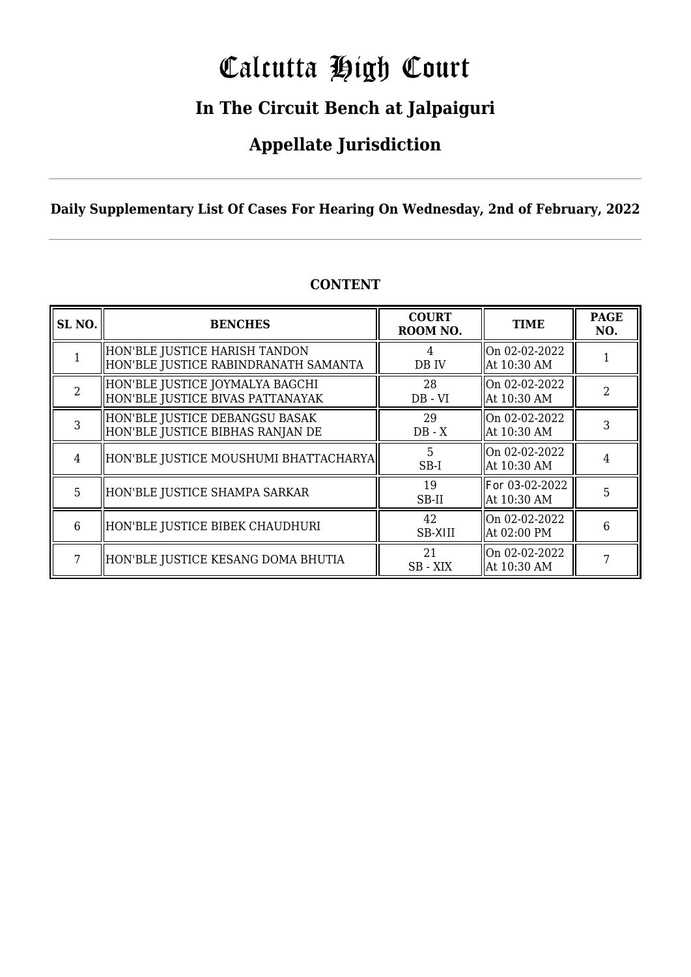# Calcutta High Court

### **In The Circuit Bench at Jalpaiguri**

### **Appellate Jurisdiction**

**Daily Supplementary List Of Cases For Hearing On Wednesday, 2nd of February, 2022**

| SL <sub>NO.</sub> | <b>BENCHES</b>                                                        | <b>COURT</b><br>ROOM NO. | <b>TIME</b>                   | <b>PAGE</b><br>NO. |
|-------------------|-----------------------------------------------------------------------|--------------------------|-------------------------------|--------------------|
|                   | HON'BLE JUSTICE HARISH TANDON<br>HON'BLE JUSTICE RABINDRANATH SAMANTA | 4<br>DB IV               | On 02-02-2022<br>At 10:30 AM  |                    |
| $\mathcal{D}$     | HON'BLE JUSTICE JOYMALYA BAGCHI<br>HON'BLE JUSTICE BIVAS PATTANAYAK   | 28<br>$DB - VI$          | On 02-02-2022<br>At 10:30 AM  | $\mathfrak{D}$     |
| 3                 | HON'BLE JUSTICE DEBANGSU BASAK<br>HON'BLE JUSTICE BIBHAS RANJAN DE    | 29<br>$DB - X$           | On 02-02-2022<br>At 10:30 AM  | 3                  |
| $\overline{4}$    | HON'BLE JUSTICE MOUSHUMI BHATTACHARYA                                 | 5.<br>$SB-I$             | On 02-02-2022<br>At 10:30 AM  | 4                  |
| 5                 | HON'BLE JUSTICE SHAMPA SARKAR                                         | 19<br>SB-II              | For 03-02-2022<br>At 10:30 AM | 5                  |
| 6                 | HON'BLE JUSTICE BIBEK CHAUDHURI                                       | 42<br><b>SB-XIII</b>     | On 02-02-2022<br>At 02:00 PM  | 6                  |
|                   | HON'BLE JUSTICE KESANG DOMA BHUTIA                                    | 21<br>SB - XIX           | On 02-02-2022<br>At 10:30 AM  |                    |

### **CONTENT**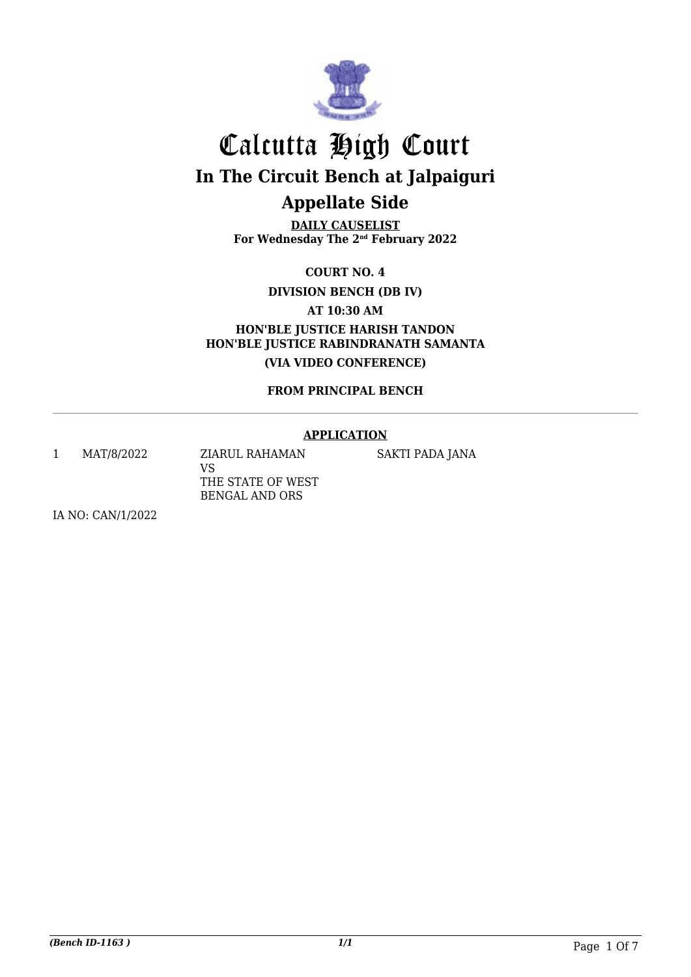

**DAILY CAUSELIST For Wednesday The 2nd February 2022**

**COURT NO. 4**

**DIVISION BENCH (DB IV)**

**AT 10:30 AM**

**HON'BLE JUSTICE HARISH TANDON HON'BLE JUSTICE RABINDRANATH SAMANTA (VIA VIDEO CONFERENCE)**

**FROM PRINCIPAL BENCH**

### **APPLICATION**

1 MAT/8/2022 ZIARUL RAHAMAN

VS THE STATE OF WEST BENGAL AND ORS

SAKTI PADA JANA

IA NO: CAN/1/2022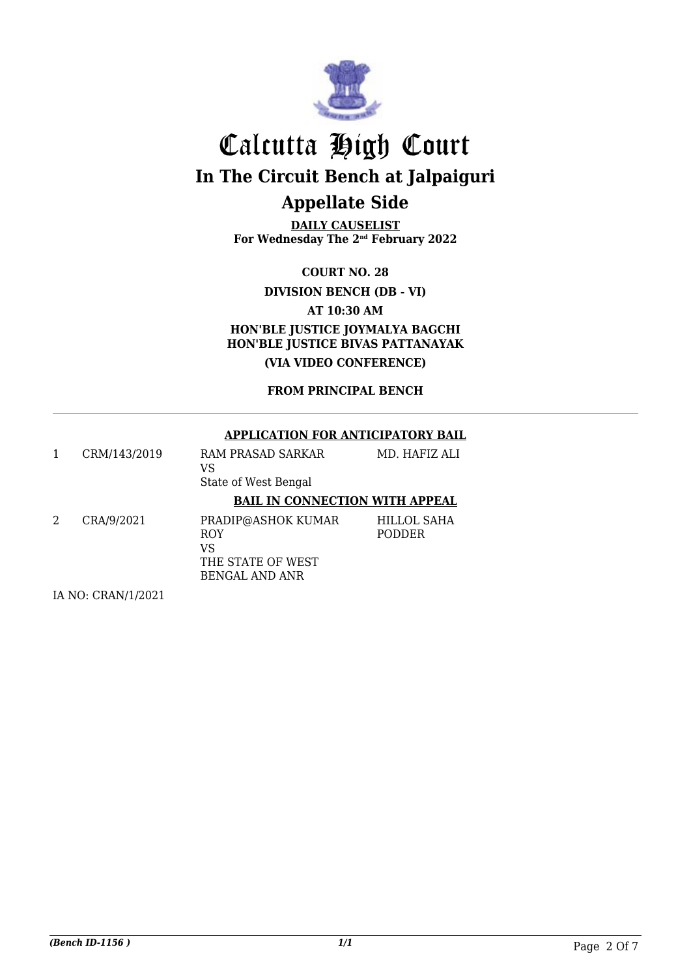

**DAILY CAUSELIST For Wednesday The 2nd February 2022**

**COURT NO. 28**

**DIVISION BENCH (DB - VI)**

**AT 10:30 AM**

**HON'BLE JUSTICE JOYMALYA BAGCHI HON'BLE JUSTICE BIVAS PATTANAYAK (VIA VIDEO CONFERENCE)**

**FROM PRINCIPAL BENCH**

### **APPLICATION FOR ANTICIPATORY BAIL**

|   | CRM/143/2019 | RAM PRASAD SARKAR<br>VS<br>State of West Bengal             | MD. HAFIZ ALI                       |
|---|--------------|-------------------------------------------------------------|-------------------------------------|
|   |              | <b>BAIL IN CONNECTION WITH APPEAL</b>                       |                                     |
| 2 | CRA/9/2021   | PRADIP@ASHOK KUMAR<br><b>ROY</b><br>VS<br>THE STATE OF WEST | <b>HILLOL SAHA</b><br><b>PODDER</b> |

BENGAL AND ANR

IA NO: CRAN/1/2021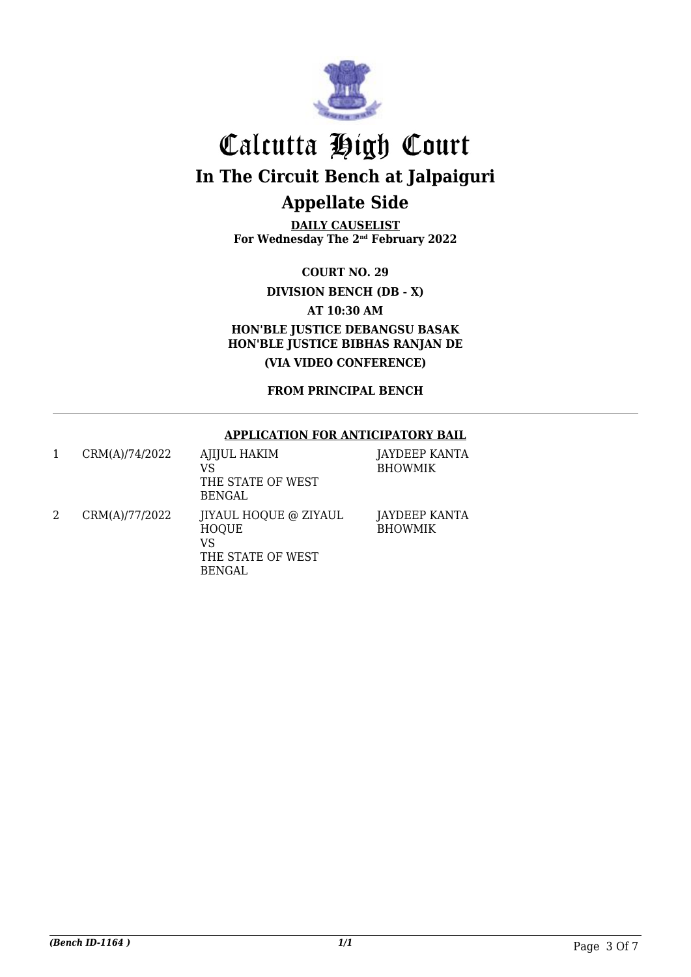

**DAILY CAUSELIST For Wednesday The 2nd February 2022**

**COURT NO. 29**

**DIVISION BENCH (DB - X)**

**AT 10:30 AM**

**HON'BLE JUSTICE DEBANGSU BASAK HON'BLE JUSTICE BIBHAS RANJAN DE (VIA VIDEO CONFERENCE)**

**FROM PRINCIPAL BENCH**

### **APPLICATION FOR ANTICIPATORY BAIL**

| CRM(A)/74/2022 | <b>AJIJUL HAKIM</b><br>VS<br>THE STATE OF WEST<br><b>BENGAL</b>                          | JAYDEEP KANTA<br><b>BHOWMIK</b> |
|----------------|------------------------------------------------------------------------------------------|---------------------------------|
| CRM(A)/77/2022 | <b>IIYAUL HOQUE @ ZIYAUL</b><br><b>HOQUE</b><br>VS<br>THE STATE OF WEST<br><b>BENGAL</b> | JAYDEEP KANTA<br><b>BHOWMIK</b> |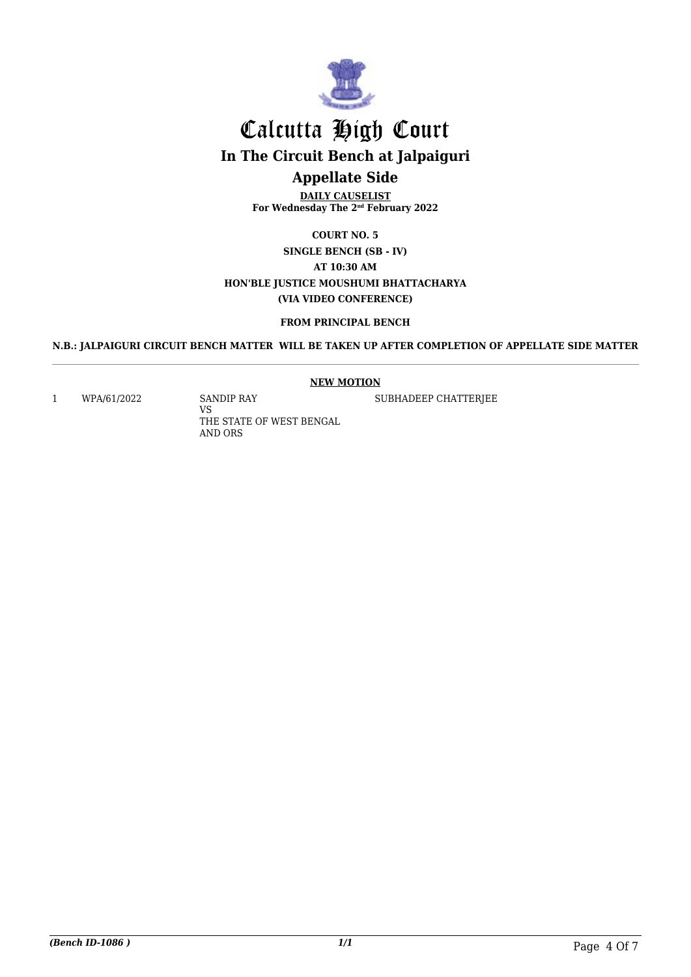

**DAILY CAUSELIST For Wednesday The 2nd February 2022**

**COURT NO. 5 SINGLE BENCH (SB - IV) AT 10:30 AM HON'BLE JUSTICE MOUSHUMI BHATTACHARYA (VIA VIDEO CONFERENCE)**

#### **FROM PRINCIPAL BENCH**

**N.B.: JALPAIGURI CIRCUIT BENCH MATTER WILL BE TAKEN UP AFTER COMPLETION OF APPELLATE SIDE MATTER**

#### **NEW MOTION**

1 WPA/61/2022 SANDIP RAY

VS THE STATE OF WEST BENGAL AND ORS

SUBHADEEP CHATTERJEE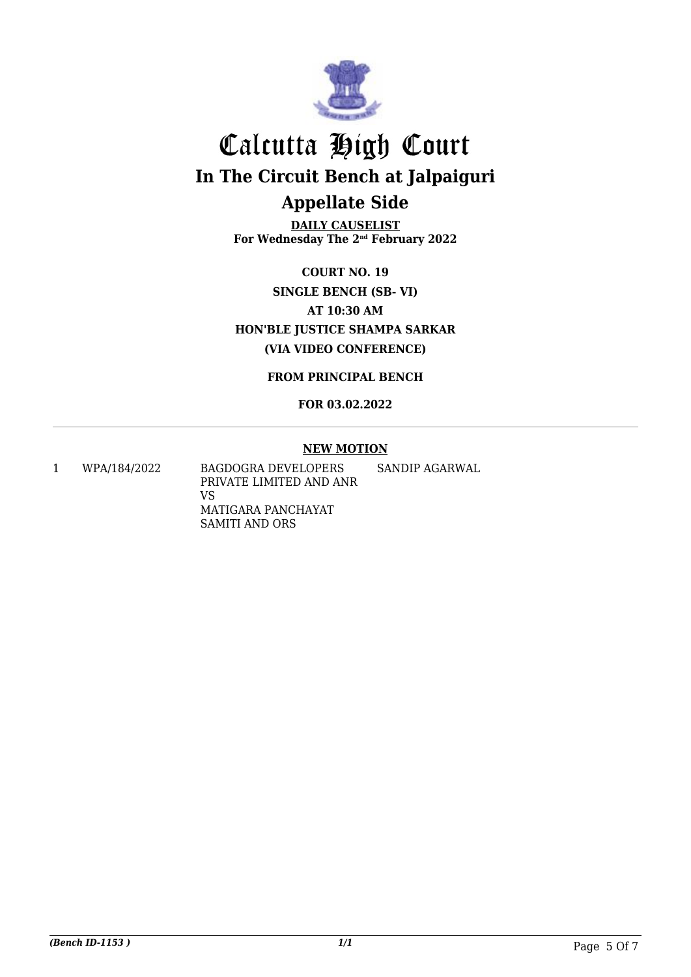

**DAILY CAUSELIST For Wednesday The 2nd February 2022**

**COURT NO. 19 SINGLE BENCH (SB- VI) AT 10:30 AM HON'BLE JUSTICE SHAMPA SARKAR (VIA VIDEO CONFERENCE)**

**FROM PRINCIPAL BENCH**

**FOR 03.02.2022**

### **NEW MOTION**

1 WPA/184/2022 BAGDOGRA DEVELOPERS PRIVATE LIMITED AND ANR VS MATIGARA PANCHAYAT SAMITI AND ORS SANDIP AGARWAL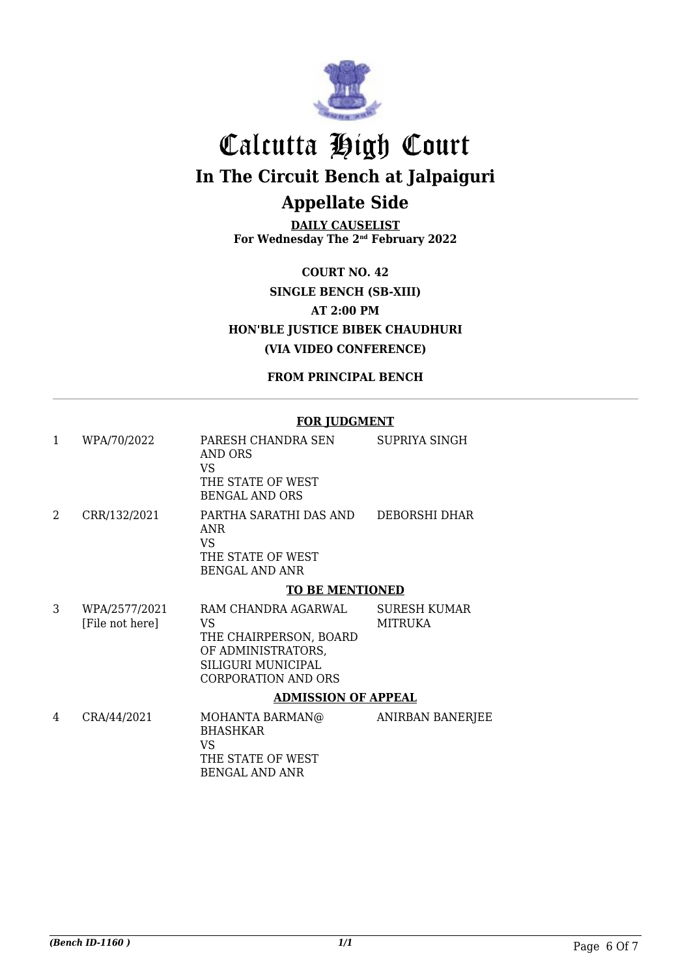

**DAILY CAUSELIST For Wednesday The 2nd February 2022**

**COURT NO. 42 SINGLE BENCH (SB-XIII) AT 2:00 PM HON'BLE JUSTICE BIBEK CHAUDHURI (VIA VIDEO CONFERENCE)**

**FROM PRINCIPAL BENCH**

### **FOR JUDGMENT**

| 1 | WPA/70/2022                      | PARESH CHANDRA SEN<br>AND ORS<br>VS.<br>THE STATE OF WEST<br><b>BENGAL AND ORS</b>                                            | SUPRIYA SINGH                  |  |
|---|----------------------------------|-------------------------------------------------------------------------------------------------------------------------------|--------------------------------|--|
| 2 | CRR/132/2021                     | PARTHA SARATHI DAS AND<br>ANR.<br>VS.<br>THE STATE OF WEST<br><b>BENGAL AND ANR</b>                                           | DEBORSHI DHAR                  |  |
|   | <b>TO BE MENTIONED</b>           |                                                                                                                               |                                |  |
| 3 | WPA/2577/2021<br>[File not here] | RAM CHANDRA AGARWAL<br>VS<br>THE CHAIRPERSON, BOARD<br>OF ADMINISTRATORS,<br>SILIGURI MUNICIPAL<br><b>CORPORATION AND ORS</b> | <b>SURESH KUMAR</b><br>MITRUKA |  |
|   | <b>ADMISSION OF APPEAL</b>       |                                                                                                                               |                                |  |
| 4 | CRA/44/2021                      | MOHANTA BARMAN@<br><b>BHASHKAR</b><br>VS.<br>THE STATE OF WEST                                                                | <b>ANIRBAN BANERJEE</b>        |  |

BENGAL AND ANR

*(Bench ID-1160 ) 1/1* Page 6 Of 7